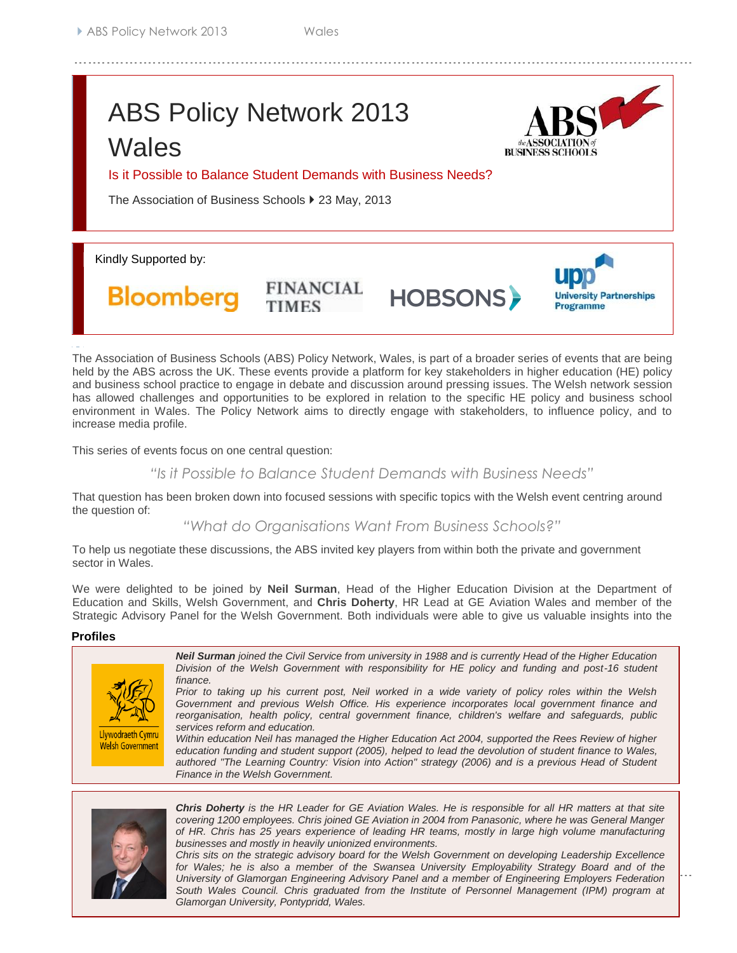# ABS Policy Network 2013 **Wales**



**University Partnerships** 

**Programme** 

Is it Possible to Balance Student Demands with Business Needs?

**FINANCIAL** 

The Association of Business Schools ▶ 23 May, 2013

Kindly Supported by:

**Bloomberg** 

The Association of Business Schools (ABS) Policy Network, Wales, is part of a broader series of events that are being held by the ABS across the UK. These events provide a platform for key stakeholders in higher education (HE) policy and business school practice to engage in debate and discussion around pressing issues. The Welsh network session has allowed challenges and opportunities to be explored in relation to the specific HE policy and business school environment in Wales. The Policy Network aims to directly engage with stakeholders, to influence policy, and to increase media profile.

**HOBSONS** 

This series of events focus on one central question:

*"Is it Possible to Balance Student Demands with Business Needs"*

That question has been broken down into focused sessions with specific topics with the Welsh event centring around the question of:

*"What do Organisations Want From Business Schools?"*

To help us negotiate these discussions, the ABS invited key players from within both the private and government sector in Wales.

We were delighted to be joined by **Neil Surman**, Head of the Higher Education Division at the Department of Education and Skills, Welsh Government, and **Chris Doherty**, HR Lead at GE Aviation Wales and member of the Strategic Advisory Panel for the Welsh Government. Both individuals were able to give us valuable insights into the

#### **Profiles** role and challenges of business schools in the Welsh Context.





*Chris Doherty is the HR Leader for GE Aviation Wales. He is responsible for all HR matters at that site covering 1200 employees. Chris joined GE Aviation in 2004 from Panasonic, where he was General Manger of HR. Chris has 25 years experience of leading HR teams, mostly in large high volume manufacturing businesses and mostly in heavily unionized environments.* 

Glamorgan University, Pontypridd, Wales. *Glamorgan University, Pontypridd, Wales. Chris sits on the strategic advisory board for the Welsh Government on developing Leadership Excellence for Wales; he is also a member of the Swansea University Employability Strategy Board and of the University of Glamorgan Engineering Advisory Panel and a member of Engineering Employers Federation South Wales Council. Chris graduated from the Institute of Personnel Management (IPM) program at*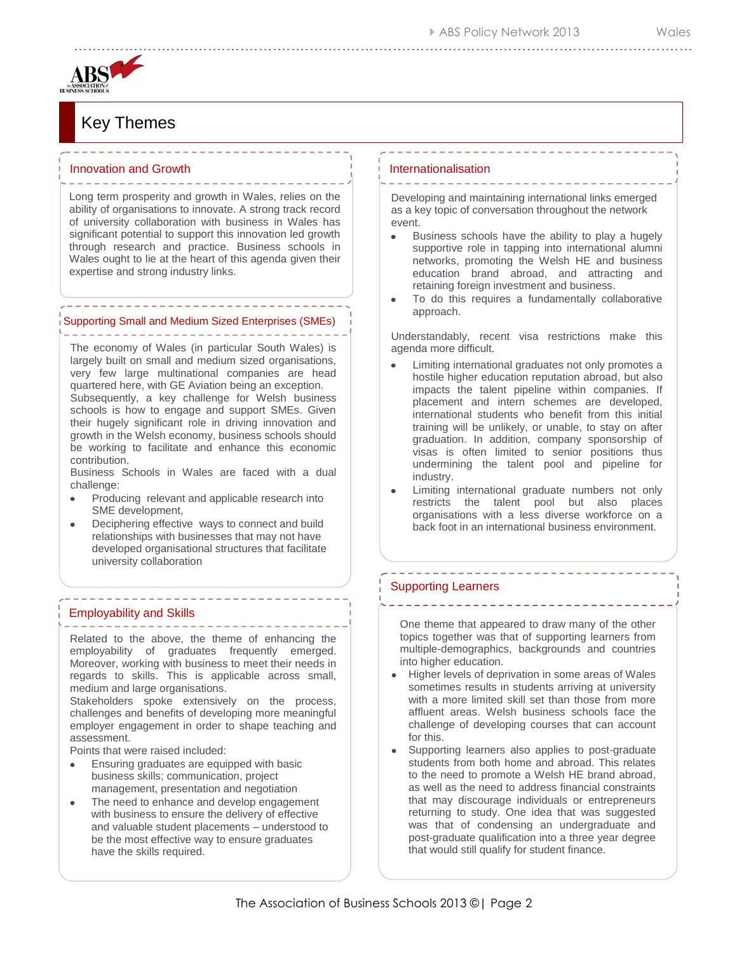# Key Themes

#### Innovation and Growth  $\begin{array}{cccccccccccccc} \multicolumn{2}{c}{} & \multicolumn{2}{c}{} & \multicolumn{2}{c}{} & \multicolumn{2}{c}{} & \multicolumn{2}{c}{} & \multicolumn{2}{c}{} & \multicolumn{2}{c}{} & \multicolumn{2}{c}{} & \multicolumn{2}{c}{} & \multicolumn{2}{c}{} & \multicolumn{2}{c}{} & \multicolumn{2}{c}{} & \multicolumn{2}{c}{} & \multicolumn{2}{c}{} & \multicolumn{2}{c}{} & \multicolumn{2}{c}{} & \multicolumn{2}{c}{} & \multicolumn{2}{c}{} & \multicolumn{2}{c}{} & \$

Long term prosperity and growth in Wales, relies on the ability of organisations to innovate. A strong track record of university collaboration with business in Wales has significant potential to support this innovation led growth through research and practice. Business schools in Wales ought to lie at the heart of this agenda given their expertise and strong industry links.

### ------------------------------Supporting Small and Medium Sized Enterprises (SMEs)

The economy of Wales (in particular South Wales) is largely built on small and medium sized organisations, very few large multinational companies are head quartered here, with GE Aviation being an exception. Subsequently, a key challenge for Welsh business schools is how to engage and support SMEs. Given their hugely significant role in driving innovation and growth in the Welsh economy, business schools should be working to facilitate and enhance this economic contribution.

Business Schools in Wales are faced with a dual challenge:

- Producing relevant and applicable research into SME development,
- Deciphering effective ways to connect and build relationships with businesses that may not have developed organisational structures that facilitate university collaboration

. . . . . . . . . . . . . . . . . .

#### Employability and Skills

Related to the above, the theme of enhancing the employability of graduates frequently emerged. Moreover, working with business to meet their needs in regards to skills. This is applicable across small, medium and large organisations.

Stakeholders spoke extensively on the process, challenges and benefits of developing more meaningful employer engagement in order to shape teaching and assessment.

Points that were raised included:

- Ensuring graduates are equipped with basic business skills; communication, project management, presentation and negotiation
- The need to enhance and develop engagement with business to ensure the delivery of effective and valuable student placements – understood to be the most effective way to ensure graduates have the skills required.

#### Internationalisation

Developing and maintaining international links emerged as a key topic of conversation throughout the network event.

- Business schools have the ability to play a hugely  $\bullet$ supportive role in tapping into international alumni networks, promoting the Welsh HE and business education brand abroad, and attracting and retaining foreign investment and business.
- To do this requires a fundamentally collaborative approach.

Understandably, recent visa restrictions make this agenda more difficult.

- Limiting international graduates not only promotes a hostile higher education reputation abroad, but also impacts the talent pipeline within companies. If placement and intern schemes are developed, international students who benefit from this initial training will be unlikely, or unable, to stay on after graduation. In addition, company sponsorship of visas is often limited to senior positions thus undermining the talent pool and pipeline for industry.
- Limiting international graduate numbers not only restricts the talent pool but also places organisations with a less diverse workforce on a back foot in an international business environment.

-----------------------

## Supporting Learners

One theme that appeared to draw many of the other topics together was that of supporting learners from multiple-demographics, backgrounds and countries into higher education.

- Higher levels of deprivation in some areas of Wales sometimes results in students arriving at university with a more limited skill set than those from more affluent areas. Welsh business schools face the challenge of developing courses that can account for this.
- Supporting learners also applies to post-graduate students from both home and abroad. This relates to the need to promote a Welsh HE brand abroad, as well as the need to address financial constraints that may discourage individuals or entrepreneurs returning to study. One idea that was suggested was that of condensing an undergraduate and post-graduate qualification into a three year degree that would still qualify for student finance.